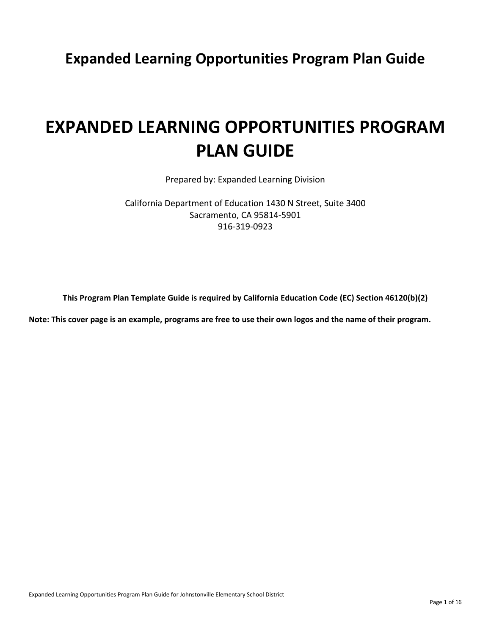**Expanded Learning Opportunities Program Plan Guide**

# **EXPANDED LEARNING OPPORTUNITIES PROGRAM PLAN GUIDE**

Prepared by: Expanded Learning Division

California Department of Education 1430 N Street, Suite 3400 Sacramento, CA 95814-5901 916-319-0923

**This Program Plan Template Guide is required by California Education Code (EC) Section 46120(b)(2)**

**Note: This cover page is an example, programs are free to use their own logos and the name of their program.**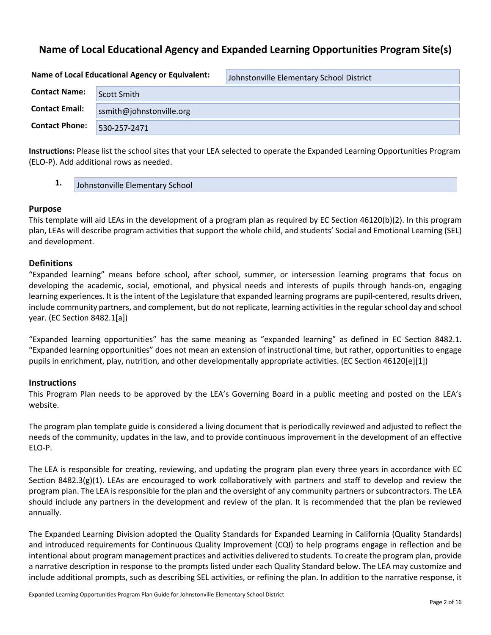# **Name of Local Educational Agency and Expanded Learning Opportunities Program Site(s)**

**Name of Local Educational Agency or Equivalent:** Johnstonville Elementary School District **Contact Name:** Scott Smith-**Contact Email:** ssmith@johnstonville.org **Contact Phone:** 530-257-2471

**Instructions:** Please list the school sites that your LEA selected to operate the Expanded Learning Opportunities Program (ELO-P). Add additional rows as needed.

**1.** Johnstonville Elementary School

#### **Purpose**

This template will aid LEAs in the development of a program plan as required by EC Section 46120(b)(2). In this program plan, LEAs will describe program activities that support the whole child, and students' Social and Emotional Learning (SEL) and development.

#### **Definitions**

"Expanded learning" means before school, after school, summer, or intersession learning programs that focus on developing the academic, social, emotional, and physical needs and interests of pupils through hands-on, engaging learning experiences. It is the intent of the Legislature that expanded learning programs are pupil-centered, results driven, include community partners, and complement, but do not replicate, learning activities in the regular school day and school year. (EC Section 8482.1[a])

"Expanded learning opportunities" has the same meaning as "expanded learning" as defined in EC Section 8482.1. "Expanded learning opportunities" does not mean an extension of instructional time, but rather, opportunities to engage pupils in enrichment, play, nutrition, and other developmentally appropriate activities. (EC Section 46120[e][1])

#### **Instructions**

This Program Plan needs to be approved by the LEA's Governing Board in a public meeting and posted on the LEA's website.

The program plan template guide is considered a living document that is periodically reviewed and adjusted to reflect the needs of the community, updates in the law, and to provide continuous improvement in the development of an effective ELO-P.

The LEA is responsible for creating, reviewing, and updating the program plan every three years in accordance with EC Section 8482.3(g)(1). LEAs are encouraged to work collaboratively with partners and staff to develop and review the program plan. The LEA is responsible for the plan and the oversight of any community partners or subcontractors. The LEA should include any partners in the development and review of the plan. It is recommended that the plan be reviewed annually.

The Expanded Learning Division adopted the Quality Standards for Expanded Learning in California (Quality Standards) and introduced requirements for Continuous Quality Improvement (CQI) to help programs engage in reflection and be intentional about program management practices and activities delivered to students. To create the program plan, provide a narrative description in response to the prompts listed under each Quality Standard below. The LEA may customize and include additional prompts, such as describing SEL activities, or refining the plan. In addition to the narrative response, it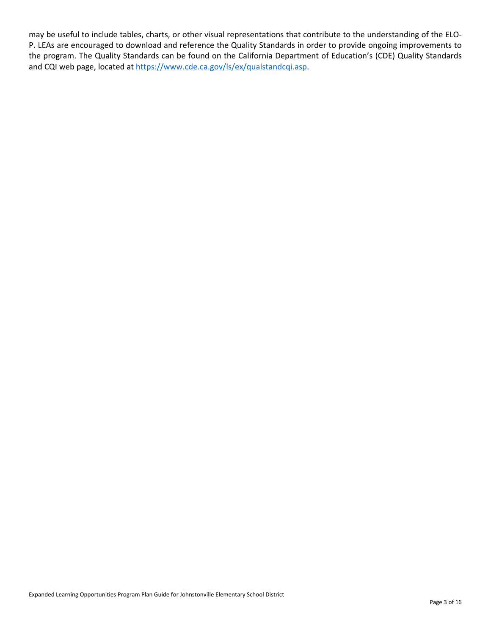may be useful to include tables, charts, or other visual representations that contribute to the understanding of the ELO-P. LEAs are encouraged to download and reference the Quality Standards in order to provide ongoing improvements to the program. The Quality Standards can be found on the California Department of Education's (CDE) Quality Standards and CQI web page, located at<https://www.cde.ca.gov/ls/ex/qualstandcqi.asp.>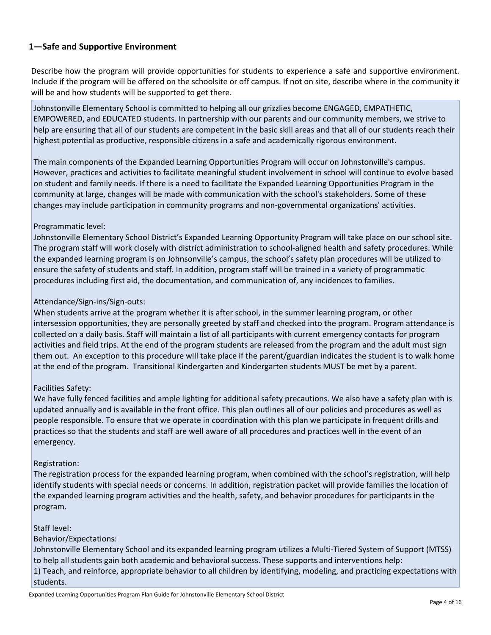## **1—Safe and Supportive Environment**

Describe how the program will provide opportunities for students to experience a safe and supportive environment. Include if the program will be offered on the schoolsite or off campus. If not on site, describe where in the community it will be and how students will be supported to get there.

Johnstonville Elementary School is committed to helping all our grizzlies become ENGAGED, EMPATHETIC, EMPOWERED, and EDUCATED students. In partnership with our parents and our community members, we strive to help are ensuring that all of our students are competent in the basic skill areas and that all of our students reach their highest potential as productive, responsible citizens in a safe and academically rigorous environment.

The main components of the Expanded Learning Opportunities Program will occur on Johnstonville's campus. However, practices and activities to facilitate meaningful student involvement in school will continue to evolve based on student and family needs. If there is a need to facilitate the Expanded Learning Opportunities Program in the community at large, changes will be made with communication with the school's stakeholders. Some of these changes may include participation in community programs and non-governmental organizations' activities.

#### Programmatic level:

Johnstonville Elementary School District's Expanded Learning Opportunity Program will take place on our school site. The program staff will work closely with district administration to school-aligned health and safety procedures. While the expanded learning program is on Johnsonville's campus, the school's safety plan procedures will be utilized to ensure the safety of students and staff. In addition, program staff will be trained in a variety of programmatic procedures including first aid, the documentation, and communication of, any incidences to families.

#### Attendance/Sign-ins/Sign-outs:

When students arrive at the program whether it is after school, in the summer learning program, or other intersession opportunities, they are personally greeted by staff and checked into the program. Program attendance is collected on a daily basis. Staff will maintain a list of all participants with current emergency contacts for program activities and field trips. At the end of the program students are released from the program and the adult must sign them out. An exception to this procedure will take place if the parent/guardian indicates the student is to walk home at the end of the program. Transitional Kindergarten and Kindergarten students MUST be met by a parent.

## Facilities Safety:

We have fully fenced facilities and ample lighting for additional safety precautions. We also have a safety plan with is updated annually and is available in the front office. This plan outlines all of our policies and procedures as well as people responsible. To ensure that we operate in coordination with this plan we participate in frequent drills and practices so that the students and staff are well aware of all procedures and practices well in the event of an emergency.

#### Registration:

The registration process for the expanded learning program, when combined with the school's registration, will help identify students with special needs or concerns. In addition, registration packet will provide families the location of the expanded learning program activities and the health, safety, and behavior procedures for participants in the program.

#### Staff level:

#### Behavior/Expectations:

Johnstonville Elementary School and its expanded learning program utilizes a Multi-Tiered System of Support (MTSS) to help all students gain both academic and behavioral success. These supports and interventions help: 1) Teach, and reinforce, appropriate behavior to all children by identifying, modeling, and practicing expectations with

students.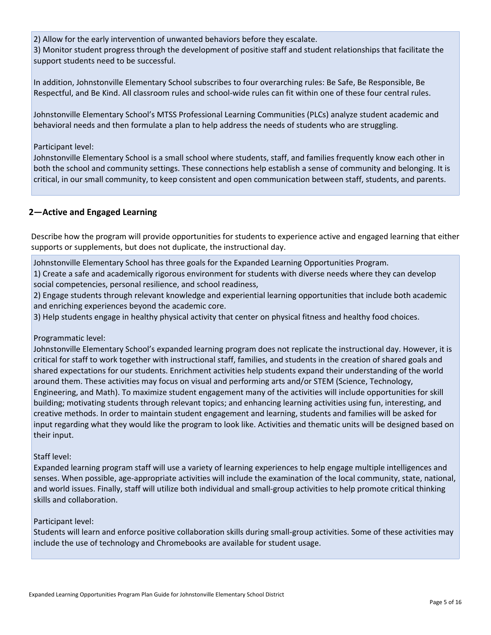2) Allow for the early intervention of unwanted behaviors before they escalate.

3) Monitor student progress through the development of positive staff and student relationships that facilitate the support students need to be successful.

In addition, Johnstonville Elementary School subscribes to four overarching rules: Be Safe, Be Responsible, Be Respectful, and Be Kind. All classroom rules and school-wide rules can fit within one of these four central rules.

Johnstonville Elementary School's MTSS Professional Learning Communities (PLCs) analyze student academic and behavioral needs and then formulate a plan to help address the needs of students who are struggling.

#### Participant level:

Johnstonville Elementary School is a small school where students, staff, and families frequently know each other in both the school and community settings. These connections help establish a sense of community and belonging. It is critical, in our small community, to keep consistent and open communication between staff, students, and parents.

## **2—Active and Engaged Learning**

Describe how the program will provide opportunities for students to experience active and engaged learning that either supports or supplements, but does not duplicate, the instructional day.

Johnstonville Elementary School has three goals for the Expanded Learning Opportunities Program.

1) Create a safe and academically rigorous environment for students with diverse needs where they can develop social competencies, personal resilience, and school readiness,

2) Engage students through relevant knowledge and experiential learning opportunities that include both academic and enriching experiences beyond the academic core.

3) Help students engage in healthy physical activity that center on physical fitness and healthy food choices.

## Programmatic level:

Johnstonville Elementary School's expanded learning program does not replicate the instructional day. However, it is critical for staff to work together with instructional staff, families, and students in the creation of shared goals and shared expectations for our students. Enrichment activities help students expand their understanding of the world around them. These activities may focus on visual and performing arts and/or STEM (Science, Technology, Engineering, and Math). To maximize student engagement many of the activities will include opportunities for skill building; motivating students through relevant topics; and enhancing learning activities using fun, interesting, and creative methods. In order to maintain student engagement and learning, students and families will be asked for input regarding what they would like the program to look like. Activities and thematic units will be designed based on their input.

#### Staff level:

Expanded learning program staff will use a variety of learning experiences to help engage multiple intelligences and senses. When possible, age-appropriate activities will include the examination of the local community, state, national, and world issues. Finally, staff will utilize both individual and small-group activities to help promote critical thinking skills and collaboration.

#### Participant level:

Students will learn and enforce positive collaboration skills during small-group activities. Some of these activities may include the use of technology and Chromebooks are available for student usage.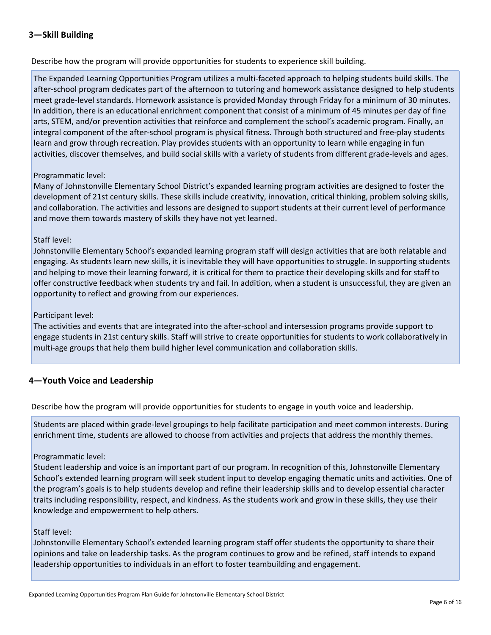## **3—Skill Building**

Describe how the program will provide opportunities for students to experience skill building.

The Expanded Learning Opportunities Program utilizes a multi-faceted approach to helping students build skills. The after-school program dedicates part of the afternoon to tutoring and homework assistance designed to help students meet grade-level standards. Homework assistance is provided Monday through Friday for a minimum of 30 minutes. In addition, there is an educational enrichment component that consist of a minimum of 45 minutes per day of fine arts, STEM, and/or prevention activities that reinforce and complement the school's academic program. Finally, an integral component of the after-school program is physical fitness. Through both structured and free-play students learn and grow through recreation. Play provides students with an opportunity to learn while engaging in fun activities, discover themselves, and build social skills with a variety of students from different grade-levels and ages.

#### Programmatic level:

Many of Johnstonville Elementary School District's expanded learning program activities are designed to foster the development of 21st century skills. These skills include creativity, innovation, critical thinking, problem solving skills, and collaboration. The activities and lessons are designed to support students at their current level of performance and move them towards mastery of skills they have not yet learned.

#### Staff level:

Johnstonville Elementary School's expanded learning program staff will design activities that are both relatable and engaging. As students learn new skills, it is inevitable they will have opportunities to struggle. In supporting students and helping to move their learning forward, it is critical for them to practice their developing skills and for staff to offer constructive feedback when students try and fail. In addition, when a student is unsuccessful, they are given an opportunity to reflect and growing from our experiences.

#### Participant level:

The activities and events that are integrated into the after-school and intersession programs provide support to engage students in 21st century skills. Staff will strive to create opportunities for students to work collaboratively in multi-age groups that help them build higher level communication and collaboration skills.

## **4—Youth Voice and Leadership**

Describe how the program will provide opportunities for students to engage in youth voice and leadership.

Students are placed within grade-level groupings to help facilitate participation and meet common interests. During enrichment time, students are allowed to choose from activities and projects that address the monthly themes.

#### Programmatic level:

Student leadership and voice is an important part of our program. In recognition of this, Johnstonville Elementary School's extended learning program will seek student input to develop engaging thematic units and activities. One of the program's goals is to help students develop and refine their leadership skills and to develop essential character traits including responsibility, respect, and kindness. As the students work and grow in these skills, they use their knowledge and empowerment to help others.

#### Staff level:

Johnstonville Elementary School's extended learning program staff offer students the opportunity to share their opinions and take on leadership tasks. As the program continues to grow and be refined, staff intends to expand leadership opportunities to individuals in an effort to foster teambuilding and engagement.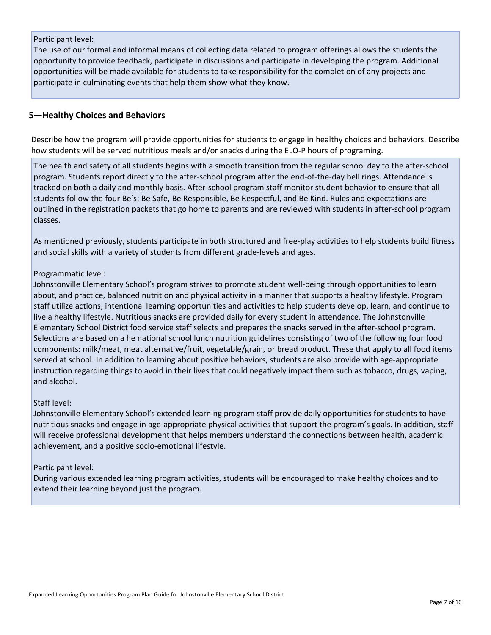#### Participant level:

The use of our formal and informal means of collecting data related to program offerings allows the students the opportunity to provide feedback, participate in discussions and participate in developing the program. Additional opportunities will be made available for students to take responsibility for the completion of any projects and participate in culminating events that help them show what they know.

#### **5—Healthy Choices and Behaviors**

Describe how the program will provide opportunities for students to engage in healthy choices and behaviors. Describe how students will be served nutritious meals and/or snacks during the ELO-P hours of programing.

The health and safety of all students begins with a smooth transition from the regular school day to the after-school program. Students report directly to the after-school program after the end-of-the-day bell rings. Attendance is tracked on both a daily and monthly basis. After-school program staff monitor student behavior to ensure that all students follow the four Be's: Be Safe, Be Responsible, Be Respectful, and Be Kind. Rules and expectations are outlined in the registration packets that go home to parents and are reviewed with students in after-school program classes.

As mentioned previously, students participate in both structured and free-play activities to help students build fitness and social skills with a variety of students from different grade-levels and ages.

#### Programmatic level:

Johnstonville Elementary School's program strives to promote student well-being through opportunities to learn about, and practice, balanced nutrition and physical activity in a manner that supports a healthy lifestyle. Program staff utilize actions, intentional learning opportunities and activities to help students develop, learn, and continue to live a healthy lifestyle. Nutritious snacks are provided daily for every student in attendance. The Johnstonville Elementary School District food service staff selects and prepares the snacks served in the after-school program. Selections are based on a he national school lunch nutrition guidelines consisting of two of the following four food components: milk/meat, meat alternative/fruit, vegetable/grain, or bread product. These that apply to all food items served at school. In addition to learning about positive behaviors, students are also provide with age-appropriate instruction regarding things to avoid in their lives that could negatively impact them such as tobacco, drugs, vaping, and alcohol.

#### Staff level:

Johnstonville Elementary School's extended learning program staff provide daily opportunities for students to have nutritious snacks and engage in age-appropriate physical activities that support the program's goals. In addition, staff will receive professional development that helps members understand the connections between health, academic achievement, and a positive socio-emotional lifestyle.

#### Participant level:

During various extended learning program activities, students will be encouraged to make healthy choices and to extend their learning beyond just the program.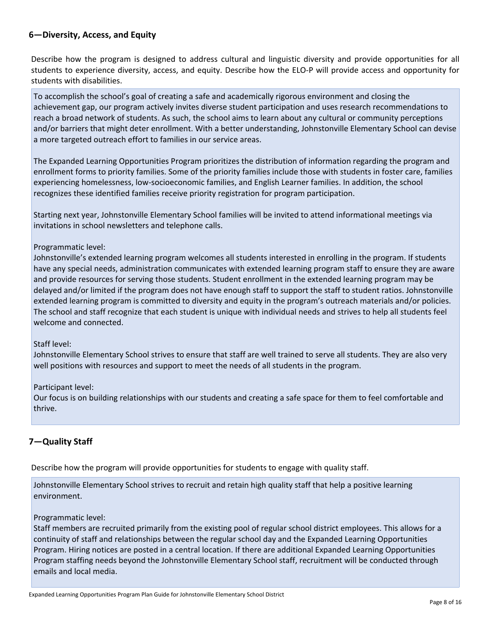## **6—Diversity, Access, and Equity**

Describe how the program is designed to address cultural and linguistic diversity and provide opportunities for all students to experience diversity, access, and equity. Describe how the ELO-P will provide access and opportunity for students with disabilities.

To accomplish the school's goal of creating a safe and academically rigorous environment and closing the achievement gap, our program actively invites diverse student participation and uses research recommendations to reach a broad network of students. As such, the school aims to learn about any cultural or community perceptions and/or barriers that might deter enrollment. With a better understanding, Johnstonville Elementary School can devise a more targeted outreach effort to families in our service areas.

The Expanded Learning Opportunities Program prioritizes the distribution of information regarding the program and enrollment forms to priority families. Some of the priority families include those with students in foster care, families experiencing homelessness, low-socioeconomic families, and English Learner families. In addition, the school recognizes these identified families receive priority registration for program participation.

Starting next year, Johnstonville Elementary School families will be invited to attend informational meetings via invitations in school newsletters and telephone calls.

#### Programmatic level:

Johnstonville's extended learning program welcomes all students interested in enrolling in the program. If students have any special needs, administration communicates with extended learning program staff to ensure they are aware and provide resources for serving those students. Student enrollment in the extended learning program may be delayed and/or limited if the program does not have enough staff to support the staff to student ratios. Johnstonville extended learning program is committed to diversity and equity in the program's outreach materials and/or policies. The school and staff recognize that each student is unique with individual needs and strives to help all students feel welcome and connected.

#### Staff level:

Johnstonville Elementary School strives to ensure that staff are well trained to serve all students. They are also very well positions with resources and support to meet the needs of all students in the program.

#### Participant level:

Our focus is on building relationships with our students and creating a safe space for them to feel comfortable and thrive.

## **7—Quality Staff**

Describe how the program will provide opportunities for students to engage with quality staff.

Johnstonville Elementary School strives to recruit and retain high quality staff that help a positive learning environment.

#### Programmatic level:

Staff members are recruited primarily from the existing pool of regular school district employees. This allows for a continuity of staff and relationships between the regular school day and the Expanded Learning Opportunities Program. Hiring notices are posted in a central location. If there are additional Expanded Learning Opportunities Program staffing needs beyond the Johnstonville Elementary School staff, recruitment will be conducted through emails and local media.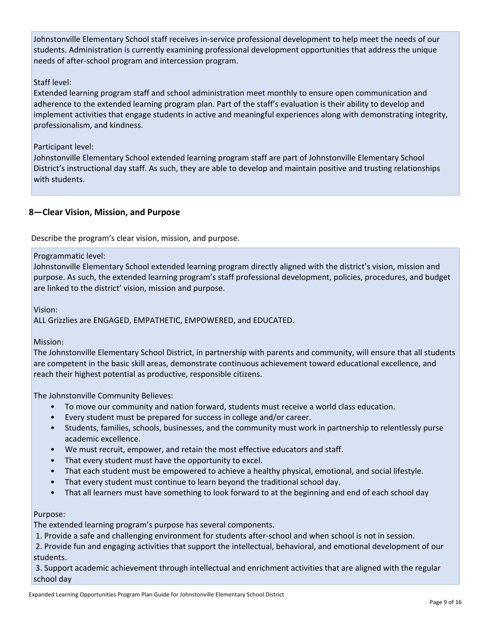Johnstonville Elementary School staff receives in-service professional development to help meet the needs of our students. Administration is currently examining professional development opportunities that address the unique needs of after-school program and intercession program.

#### Staff level:

Extended learning program staff and school administration meet monthly to ensure open communication and adherence to the extended learning program plan. Part of the staff's evaluation is their ability to develop and implement activities that engage students in active and meaningful experiences along with demonstrating integrity, professionalism, and kindness.

#### Participant level:

Johnstonville Elementary School extended learning program staff are part of Johnstonville Elementary School District's instructional day staff. As such, they are able to develop and maintain positive and trusting relationships with students.

## **8—Clear Vision, Mission, and Purpose**

Describe the program's clear vision, mission, and purpose.

#### Programmatic level:

Johnstonville Elementary School extended learning program directly aligned with the district's vision, mission and purpose. As such, the extended learning program's staff professional development, policies, procedures, and budget are linked to the district' vision, mission and purpose.

Vision:

ALL Grizzlies are ENGAGED, EMPATHETIC, EMPOWERED, and EDUCATED.

#### Mission:

The Johnstonville Elementary School District, in partnership with parents and community, will ensure that all students are competent in the basic skill areas, demonstrate continuous achievement toward educational excellence, and reach their highest potential as productive, responsible citizens.

The Johnstonville Community Believes:

- To move our community and nation forward, students must receive a world class education.
- Every student must be prepared for success in college and/or career.
- Students, families, schools, businesses, and the community must work in partnership to relentlessly purse academic excellence.
- We must recruit, empower, and retain the most effective educators and staff.
- That every student must have the opportunity to excel.
- That each student must be empowered to achieve a healthy physical, emotional, and social lifestyle.
- That every student must continue to learn beyond the traditional school day.
- That all learners must have something to look forward to at the beginning and end of each school day

#### Purpose:

The extended learning program's purpose has several components.

1. Provide a safe and challenging environment for students after-school and when school is not in session.

 2. Provide fun and engaging activities that support the intellectual, behavioral, and emotional development of our students.

 3. Support academic achievement through intellectual and enrichment activities that are aligned with the regular school day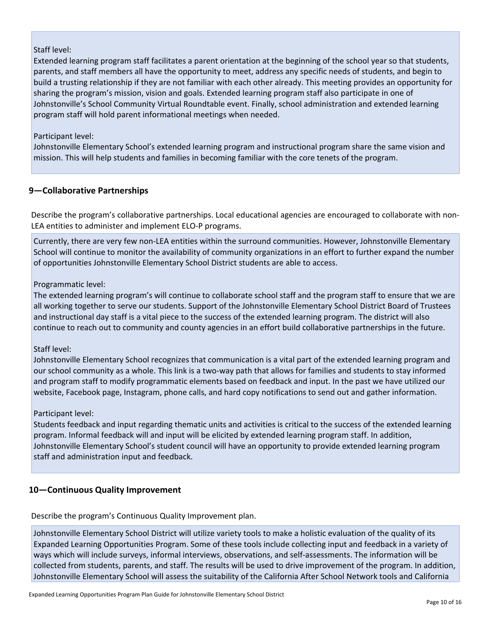#### Staff level:

Extended learning program staff facilitates a parent orientation at the beginning of the school year so that students, parents, and staff members all have the opportunity to meet, address any specific needs of students, and begin to build a trusting relationship if they are not familiar with each other already. This meeting provides an opportunity for sharing the program's mission, vision and goals. Extended learning program staff also participate in one of Johnstonville's School Community Virtual Roundtable event. Finally, school administration and extended learning program staff will hold parent informational meetings when needed.

#### Participant level:

Johnstonville Elementary School's extended learning program and instructional program share the same vision and mission. This will help students and families in becoming familiar with the core tenets of the program.

#### **9—Collaborative Partnerships**

Describe the program's collaborative partnerships. Local educational agencies are encouraged to collaborate with non-LEA entities to administer and implement ELO-P programs.

Currently, there are very few non-LEA entities within the surround communities. However, Johnstonville Elementary School will continue to monitor the availability of community organizations in an effort to further expand the number of opportunities Johnstonville Elementary School District students are able to access.

#### Programmatic level:

The extended learning program's will continue to collaborate school staff and the program staff to ensure that we are all working together to serve our students. Support of the Johnstonville Elementary School District Board of Trustees and instructional day staff is a vital piece to the success of the extended learning program. The district will also continue to reach out to community and county agencies in an effort build collaborative partnerships in the future.

#### Staff level:

Johnstonville Elementary School recognizes that communication is a vital part of the extended learning program and our school community as a whole. This link is a two-way path that allows for families and students to stay informed and program staff to modify programmatic elements based on feedback and input. In the past we have utilized our website, Facebook page, Instagram, phone calls, and hard copy notifications to send out and gather information.

#### Participant level:

Students feedback and input regarding thematic units and activities is critical to the success of the extended learning program. Informal feedback will and input will be elicited by extended learning program staff. In addition, Johnstonville Elementary School's student council will have an opportunity to provide extended learning program staff and administration input and feedback.

#### **10—Continuous Quality Improvement**

Describe the program's Continuous Quality Improvement plan.

Johnstonville Elementary School District will utilize variety tools to make a holistic evaluation of the quality of its Expanded Learning Opportunities Program. Some of these tools include collecting input and feedback in a variety of ways which will include surveys, informal interviews, observations, and self-assessments. The information will be collected from students, parents, and staff. The results will be used to drive improvement of the program. In addition, Johnstonville Elementary School will assess the suitability of the California After School Network tools and California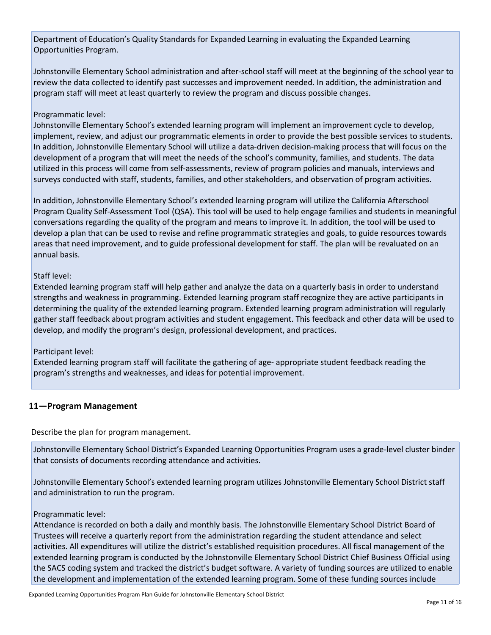Department of Education's Quality Standards for Expanded Learning in evaluating the Expanded Learning Opportunities Program.

Johnstonville Elementary School administration and after-school staff will meet at the beginning of the school year to review the data collected to identify past successes and improvement needed. In addition, the administration and program staff will meet at least quarterly to review the program and discuss possible changes.

#### Programmatic level:

Johnstonville Elementary School's extended learning program will implement an improvement cycle to develop, implement, review, and adjust our programmatic elements in order to provide the best possible services to students. In addition, Johnstonville Elementary School will utilize a data-driven decision-making process that will focus on the development of a program that will meet the needs of the school's community, families, and students. The data utilized in this process will come from self-assessments, review of program policies and manuals, interviews and surveys conducted with staff, students, families, and other stakeholders, and observation of program activities.

In addition, Johnstonville Elementary School's extended learning program will utilize the California Afterschool Program Quality Self-Assessment Tool (QSA). This tool will be used to help engage families and students in meaningful conversations regarding the quality of the program and means to improve it. In addition, the tool will be used to develop a plan that can be used to revise and refine programmatic strategies and goals, to guide resources towards areas that need improvement, and to guide professional development for staff. The plan will be revaluated on an annual basis.

#### Staff level:

Extended learning program staff will help gather and analyze the data on a quarterly basis in order to understand strengths and weakness in programming. Extended learning program staff recognize they are active participants in determining the quality of the extended learning program. Extended learning program administration will regularly gather staff feedback about program activities and student engagement. This feedback and other data will be used to develop, and modify the program's design, professional development, and practices.

#### Participant level:

Extended learning program staff will facilitate the gathering of age- appropriate student feedback reading the program's strengths and weaknesses, and ideas for potential improvement.

## **11—Program Management**

Describe the plan for program management.

Johnstonville Elementary School District's Expanded Learning Opportunities Program uses a grade-level cluster binder that consists of documents recording attendance and activities.

Johnstonville Elementary School's extended learning program utilizes Johnstonville Elementary School District staff and administration to run the program.

#### Programmatic level:

Attendance is recorded on both a daily and monthly basis. The Johnstonville Elementary School District Board of Trustees will receive a quarterly report from the administration regarding the student attendance and select activities. All expenditures will utilize the district's established requisition procedures. All fiscal management of the extended learning program is conducted by the Johnstonville Elementary School District Chief Business Official using the SACS coding system and tracked the district's budget software. A variety of funding sources are utilized to enable the development and implementation of the extended learning program. Some of these funding sources include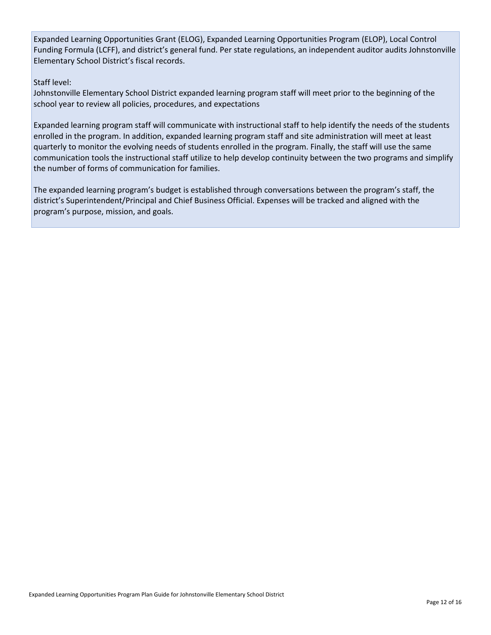Expanded Learning Opportunities Grant (ELOG), Expanded Learning Opportunities Program (ELOP), Local Control Funding Formula (LCFF), and district's general fund. Per state regulations, an independent auditor audits Johnstonville Elementary School District's fiscal records.

#### Staff level:

Johnstonville Elementary School District expanded learning program staff will meet prior to the beginning of the school year to review all policies, procedures, and expectations

Expanded learning program staff will communicate with instructional staff to help identify the needs of the students enrolled in the program. In addition, expanded learning program staff and site administration will meet at least quarterly to monitor the evolving needs of students enrolled in the program. Finally, the staff will use the same communication tools the instructional staff utilize to help develop continuity between the two programs and simplify the number of forms of communication for families.

The expanded learning program's budget is established through conversations between the program's staff, the district's Superintendent/Principal and Chief Business Official. Expenses will be tracked and aligned with the program's purpose, mission, and goals.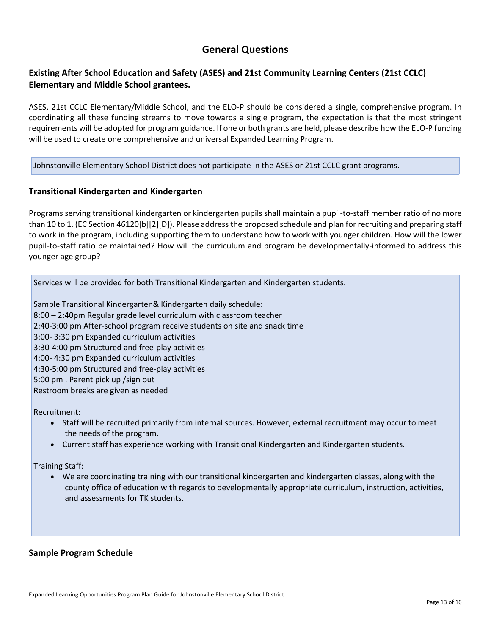## **General Questions**

## **Existing After School Education and Safety (ASES) and 21st Community Learning Centers (21st CCLC) Elementary and Middle School grantees.**

ASES, 21st CCLC Elementary/Middle School, and the ELO-P should be considered a single, comprehensive program. In coordinating all these funding streams to move towards a single program, the expectation is that the most stringent requirements will be adopted for program guidance. If one or both grants are held, please describe how the ELO-P funding will be used to create one comprehensive and universal Expanded Learning Program.

#### Johnstonville Elementary School District does not participate in the ASES or 21st CCLC grant programs.

#### **Transitional Kindergarten and Kindergarten**

Programs serving transitional kindergarten or kindergarten pupils shall maintain a pupil-to-staff member ratio of no more than 10 to 1. (EC Section 46120[b][2][D]). Please address the proposed schedule and plan for recruiting and preparing staff to work in the program, including supporting them to understand how to work with younger children. How will the lower pupil-to-staff ratio be maintained? How will the curriculum and program be developmentally-informed to address this younger age group?

Services will be provided for both Transitional Kindergarten and Kindergarten students.

Sample Transitional Kindergarten& Kindergarten daily schedule: 8:00 – 2:40pm Regular grade level curriculum with classroom teacher 2:40-3:00 pm After-school program receive students on site and snack time 3:00- 3:30 pm Expanded curriculum activities 3:30-4:00 pm Structured and free-play activities 4:00- 4:30 pm Expanded curriculum activities 4:30-5:00 pm Structured and free-play activities 5:00 pm . Parent pick up /sign out

Restroom breaks are given as needed

Recruitment:

- Staff will be recruited primarily from internal sources. However, external recruitment may occur to meet the needs of the program.
- Current staff has experience working with Transitional Kindergarten and Kindergarten students.

Training Staff:

• We are coordinating training with our transitional kindergarten and kindergarten classes, along with the county office of education with regards to developmentally appropriate curriculum, instruction, activities, and assessments for TK students.

#### **Sample Program Schedule**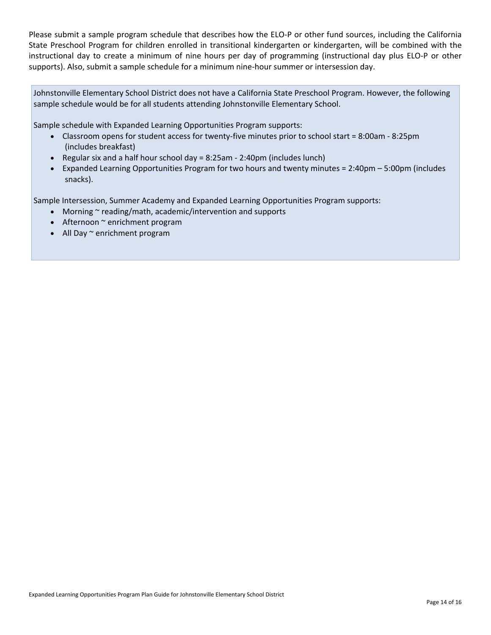Please submit a sample program schedule that describes how the ELO-P or other fund sources, including the California State Preschool Program for children enrolled in transitional kindergarten or kindergarten, will be combined with the instructional day to create a minimum of nine hours per day of programming (instructional day plus ELO-P or other supports). Also, submit a sample schedule for a minimum nine-hour summer or intersession day.

Johnstonville Elementary School District does not have a California State Preschool Program. However, the following sample schedule would be for all students attending Johnstonville Elementary School.

Sample schedule with Expanded Learning Opportunities Program supports:

- Classroom opens for student access for twenty-five minutes prior to school start = 8:00am 8:25pm (includes breakfast)
- Regular six and a half hour school day = 8:25am 2:40pm (includes lunch)
- Expanded Learning Opportunities Program for two hours and twenty minutes = 2:40pm 5:00pm (includes snacks).

Sample Intersession, Summer Academy and Expanded Learning Opportunities Program supports:

- Morning ~ reading/math, academic/intervention and supports
- Afternoon ~ enrichment program
- All Day ~ enrichment program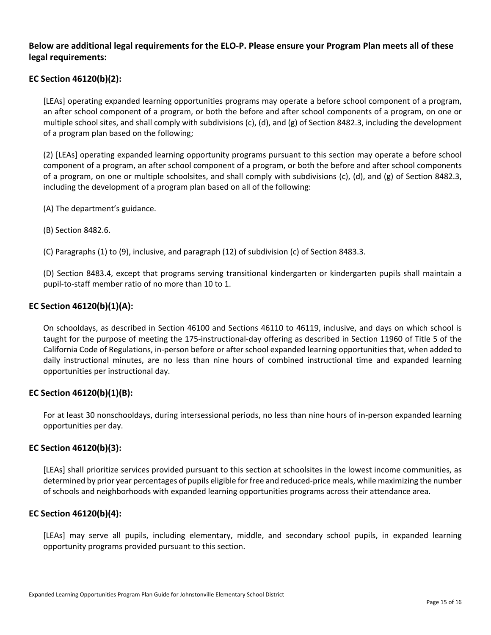## **Below are additional legal requirements for the ELO-P. Please ensure your Program Plan meets all of these legal requirements:**

### **EC Section 46120(b)(2):**

[LEAs] operating expanded learning opportunities programs may operate a before school component of a program, an after school component of a program, or both the before and after school components of a program, on one or multiple school sites, and shall comply with subdivisions (c), (d), and (g) of Section 8482.3, including the development of a program plan based on the following;

(2) [LEAs] operating expanded learning opportunity programs pursuant to this section may operate a before school component of a program, an after school component of a program, or both the before and after school components of a program, on one or multiple schoolsites, and shall comply with subdivisions (c), (d), and (g) of Section 8482.3, including the development of a program plan based on all of the following:

- (A) The department's guidance.
- (B) Section 8482.6.

(C) Paragraphs (1) to (9), inclusive, and paragraph (12) of subdivision (c) of Section 8483.3.

(D) Section 8483.4, except that programs serving transitional kindergarten or kindergarten pupils shall maintain a pupil-to-staff member ratio of no more than 10 to 1.

#### **EC Section 46120(b)(1)(A):**

On schooldays, as described in Section 46100 and Sections 46110 to 46119, inclusive, and days on which school is taught for the purpose of meeting the 175-instructional-day offering as described in Section 11960 of Title 5 of the California Code of Regulations, in-person before or after school expanded learning opportunities that, when added to daily instructional minutes, are no less than nine hours of combined instructional time and expanded learning opportunities per instructional day.

#### **EC Section 46120(b)(1)(B):**

For at least 30 nonschooldays, during intersessional periods, no less than nine hours of in-person expanded learning opportunities per day.

#### **EC Section 46120(b)(3):**

[LEAs] shall prioritize services provided pursuant to this section at schoolsites in the lowest income communities, as determined by prior year percentages of pupils eligible for free and reduced-price meals, while maximizing the number of schools and neighborhoods with expanded learning opportunities programs across their attendance area.

#### **EC Section 46120(b)(4):**

[LEAs] may serve all pupils, including elementary, middle, and secondary school pupils, in expanded learning opportunity programs provided pursuant to this section.